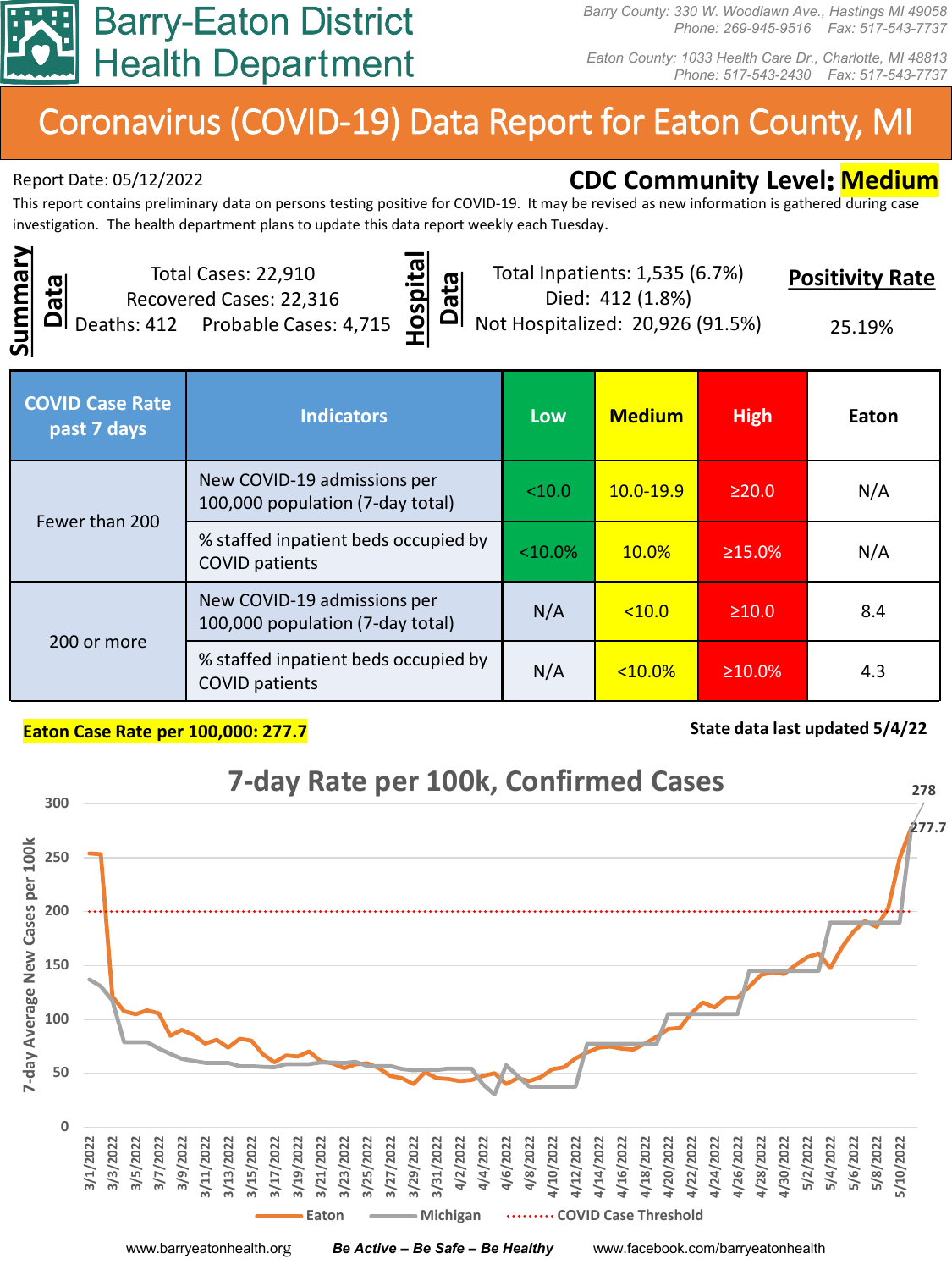

*Barry County: 330 W. Woodlawn Ave., Hastings MI 49058 Phone: 269-945-9516 Fax: 517-543-7737*

*Eaton County: 1033 Health Care Dr., Charlotte, MI 48813 Phone: 517-543-2430 Fax: 517-543-7737*

# Coronavirus (COVID-19) Data Report for Eaton County, MI

# Report Date: 05/12/2022 **CDC Community Level: Medium**

This report contains preliminary data on persons testing positive for COVID-19. It may be revised as new information is gathered during case investigation. The health department plans to update this data report weekly each Tuesday.

**Summary**  Summary **Data**

Total Cases: 22,910 Recovered Cases: 22,316 Deaths: 412 Probable Cases: 4,715



Total Inpatients: 1,535 (6.7%) Died: 412 (1.8%)

**Positivity Rate**

Not Hospitalized: 20,926 (91.5%)

25.19%

| <b>COVID Case Rate</b><br>past 7 days | <b>Indicators</b>                                               | Low        | <b>Medium</b> | <b>High</b>   | Eaton |
|---------------------------------------|-----------------------------------------------------------------|------------|---------------|---------------|-------|
| Fewer than 200                        | New COVID-19 admissions per<br>100,000 population (7-day total) | < 10.0     | $10.0 - 19.9$ | $\geq$ 20.0   | N/A   |
|                                       | % staffed inpatient beds occupied by<br><b>COVID patients</b>   | $< 10.0\%$ | 10.0%         | $\geq 15.0\%$ | N/A   |
| 200 or more                           | New COVID-19 admissions per<br>100,000 population (7-day total) | N/A        | < 10.0        | $\geq 10.0$   | 8.4   |
|                                       | % staffed inpatient beds occupied by<br><b>COVID patients</b>   | N/A        | $< 10.0\%$    | $\geq 10.0\%$ | 4.3   |

#### **Eaton Case Rate per 100,000: 277.7 State data last updated 5/4/22** State data last updated 5/4/22